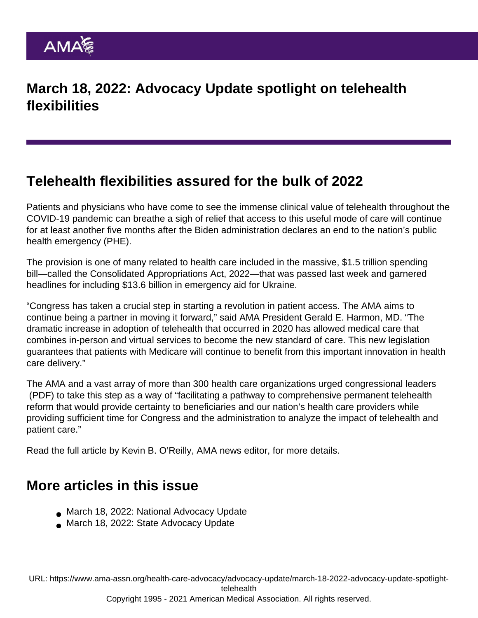## March 18, 2022: Advocacy Update spotlight on telehealth flexibilities

## Telehealth flexibilities assured for the bulk of 2022

Patients and physicians who have come to see the immense clinical value of [telehealth](https://www.ama-assn.org/topics/telehealth) throughout the COVID-19 pandemic can breathe a sigh of relief that access to this useful mode of care will continue for at least another five months after the Biden administration declares an end to the nation's public health emergency (PHE).

The provision is one of many related to health care included in the massive, \$1.5 trillion spending bill—called the Consolidated Appropriations Act, 2022—that was passed last week and garnered headlines for including \$13.6 billion in emergency aid for Ukraine.

"Congress has taken a crucial step in starting a revolution in patient access. The AMA aims to continue being a partner in moving it forward," said AMA President [Gerald E. Harmon, MD](https://www.ama-assn.org/about/board-trustees/gerald-e-harmon-md). "The dramatic increase in adoption of telehealth that occurred in 2020 has allowed medical care that combines in-person and virtual services to become the new standard of care. This new legislation guarantees that patients with Medicare will continue to benefit from this important innovation in health care delivery."

The AMA and a vast array of more than 300 health care organizations [urged congressional leaders](https://searchlf.ama-assn.org/letter/documentDownload?uri=/unstructured/binary/letter/LETTERS/Telehealth-Pathway-to-Reform-Letter-to-Congress-w-signers-FIN-1-31-22.pdf) (PDF) to take this step as a way of "facilitating a pathway to comprehensive permanent telehealth reform that would provide certainty to beneficiaries and our nation's health care providers while providing sufficient time for Congress and the administration to analyze the impact of telehealth and patient care."

Read the [full article](https://www.ama-assn.org/practice-management/digital/telehealth-flexibilities-assured-bulk-2022) by Kevin B. O'Reilly, AMA news editor, for more details.

## More articles in this issue

- [March 18, 2022: National Advocacy Update](https://www.ama-assn.org/health-care-advocacy/advocacy-update/march-18-2022-national-advocacy-update)
- [March 18, 2022: State Advocacy Update](https://www.ama-assn.org/health-care-advocacy/advocacy-update/march-18-2022-state-advocacy-update)

URL: [https://www.ama-assn.org/health-care-advocacy/advocacy-update/march-18-2022-advocacy-update-spotlight](https://www.ama-assn.org/health-care-advocacy/advocacy-update/march-18-2022-advocacy-update-spotlight-telehealth)[telehealth](https://www.ama-assn.org/health-care-advocacy/advocacy-update/march-18-2022-advocacy-update-spotlight-telehealth)